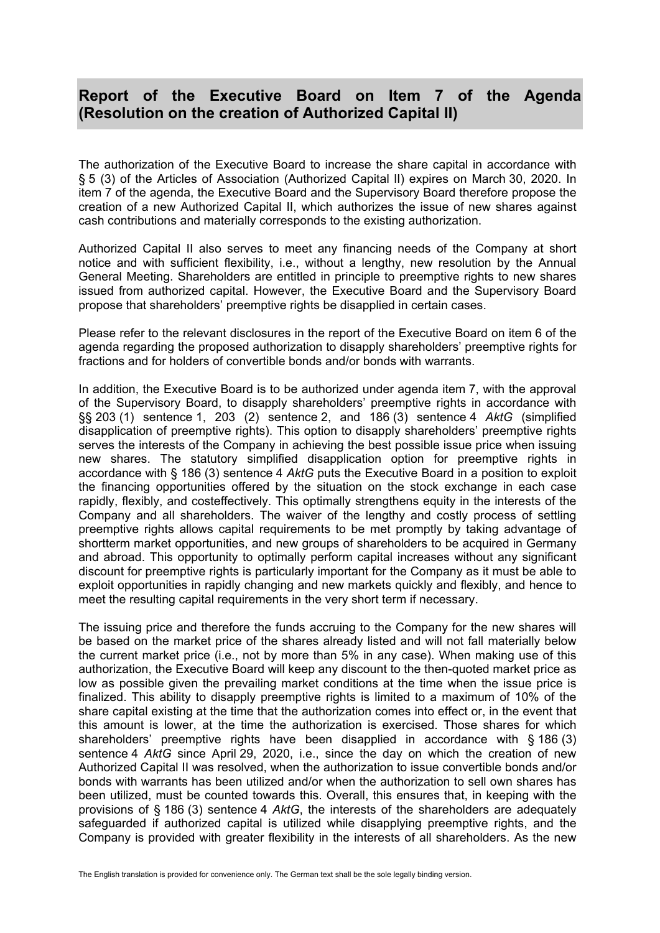## **Report of the Executive Board on Item 7 of the Agenda (Resolution on the creation of Authorized Capital II)**

The authorization of the Executive Board to increase the share capital in accordance with § 5 (3) of the Articles of Association (Authorized Capital lI) expires on March 30, 2020. In item 7 of the agenda, the Executive Board and the Supervisory Board therefore propose the creation of a new Authorized Capital II, which authorizes the issue of new shares against cash contributions and materially corresponds to the existing authorization.

Authorized Capital II also serves to meet any financing needs of the Company at short notice and with sufficient flexibility, i.e., without a lengthy, new resolution by the Annual General Meeting. Shareholders are entitled in principle to preemptive rights to new shares issued from authorized capital. However, the Executive Board and the Supervisory Board propose that shareholders' preemptive rights be disapplied in certain cases.

Please refer to the relevant disclosures in the report of the Executive Board on item 6 of the agenda regarding the proposed authorization to disapply shareholders' preemptive rights for fractions and for holders of convertible bonds and/or bonds with warrants.

In addition, the Executive Board is to be authorized under agenda item 7, with the approval of the Supervisory Board, to disapply shareholders' preemptive rights in accordance with §§ 203 (1) sentence 1, 203 (2) sentence 2, and 186 (3) sentence 4 *AktG* (simplified disapplication of preemptive rights). This option to disapply shareholders' preemptive rights serves the interests of the Company in achieving the best possible issue price when issuing new shares. The statutory simplified disapplication option for preemptive rights in accordance with § 186 (3) sentence 4 *AktG* puts the Executive Board in a position to exploit the financing opportunities offered by the situation on the stock exchange in each case rapidly, flexibly, and costeffectively. This optimally strengthens equity in the interests of the Company and all shareholders. The waiver of the lengthy and costly process of settling preemptive rights allows capital requirements to be met promptly by taking advantage of shortterm market opportunities, and new groups of shareholders to be acquired in Germany and abroad. This opportunity to optimally perform capital increases without any significant discount for preemptive rights is particularly important for the Company as it must be able to exploit opportunities in rapidly changing and new markets quickly and flexibly, and hence to meet the resulting capital requirements in the very short term if necessary.

The issuing price and therefore the funds accruing to the Company for the new shares will be based on the market price of the shares already listed and will not fall materially below the current market price (i.e., not by more than 5% in any case). When making use of this authorization, the Executive Board will keep any discount to the then-quoted market price as low as possible given the prevailing market conditions at the time when the issue price is finalized. This ability to disapply preemptive rights is limited to a maximum of 10% of the share capital existing at the time that the authorization comes into effect or, in the event that this amount is lower, at the time the authorization is exercised. Those shares for which shareholders' preemptive rights have been disapplied in accordance with § 186 (3) sentence 4 *AktG* since April 29, 2020, i.e., since the day on which the creation of new Authorized Capital II was resolved, when the authorization to issue convertible bonds and/or bonds with warrants has been utilized and/or when the authorization to sell own shares has been utilized, must be counted towards this. Overall, this ensures that, in keeping with the provisions of § 186 (3) sentence 4 *AktG*, the interests of the shareholders are adequately safeguarded if authorized capital is utilized while disapplying preemptive rights, and the Company is provided with greater flexibility in the interests of all shareholders. As the new